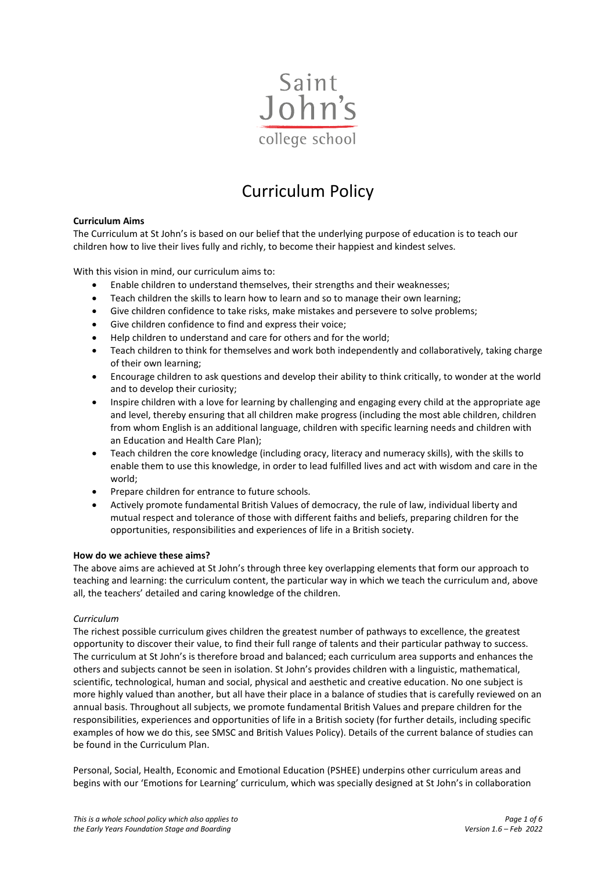

# Curriculum Policy

# **Curriculum Aims**

The Curriculum at St John's is based on our belief that the underlying purpose of education is to teach our children how to live their lives fully and richly, to become their happiest and kindest selves.

With this vision in mind, our curriculum aims to:

- Enable children to understand themselves, their strengths and their weaknesses;
- Teach children the skills to learn how to learn and so to manage their own learning;
- Give children confidence to take risks, make mistakes and persevere to solve problems;
- Give children confidence to find and express their voice;
- Help children to understand and care for others and for the world;
- Teach children to think for themselves and work both independently and collaboratively, taking charge of their own learning;
- Encourage children to ask questions and develop their ability to think critically, to wonder at the world and to develop their curiosity;
- Inspire children with a love for learning by challenging and engaging every child at the appropriate age and level, thereby ensuring that all children make progress (including the most able children, children from whom English is an additional language, children with specific learning needs and children with an Education and Health Care Plan);
- Teach children the core knowledge (including oracy, literacy and numeracy skills), with the skills to enable them to use this knowledge, in order to lead fulfilled lives and act with wisdom and care in the world;
- Prepare children for entrance to future schools.
- Actively promote fundamental British Values of democracy, the rule of law, individual liberty and mutual respect and tolerance of those with different faiths and beliefs, preparing children for the opportunities, responsibilities and experiences of life in a British society.

# **How do we achieve these aims?**

The above aims are achieved at St John's through three key overlapping elements that form our approach to teaching and learning: the curriculum content, the particular way in which we teach the curriculum and, above all, the teachers' detailed and caring knowledge of the children.

# *Curriculum*

The richest possible curriculum gives children the greatest number of pathways to excellence, the greatest opportunity to discover their value, to find their full range of talents and their particular pathway to success. The curriculum at St John's is therefore broad and balanced; each curriculum area supports and enhances the others and subjects cannot be seen in isolation. St John's provides children with a linguistic, mathematical, scientific, technological, human and social, physical and aesthetic and creative education. No one subject is more highly valued than another, but all have their place in a balance of studies that is carefully reviewed on an annual basis. Throughout all subjects, we promote fundamental British Values and prepare children for the responsibilities, experiences and opportunities of life in a British society (for further details, including specific examples of how we do this, see SMSC and British Values Policy). Details of the current balance of studies can be found in the Curriculum Plan.

Personal, Social, Health, Economic and Emotional Education (PSHEE) underpins other curriculum areas and begins with our 'Emotions for Learning' curriculum, which was specially designed at St John's in collaboration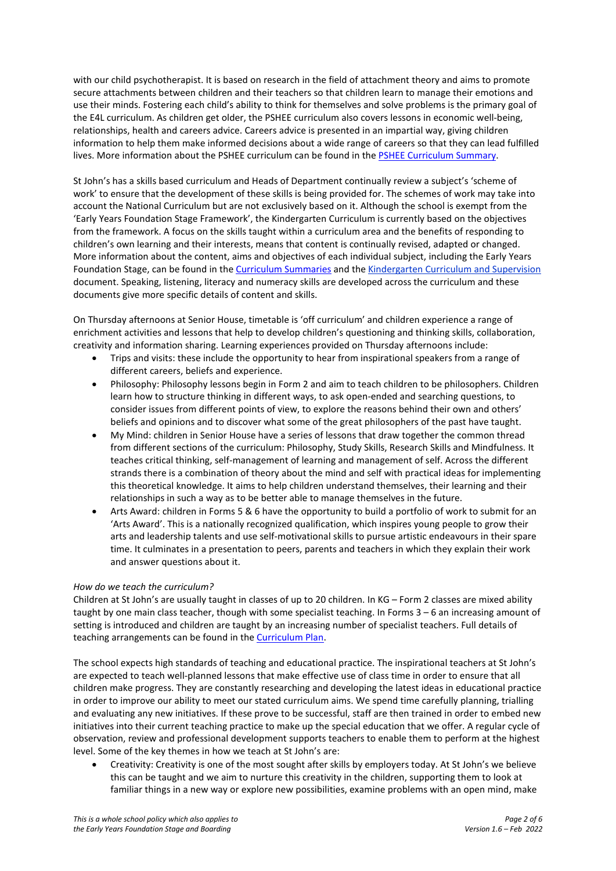with our child psychotherapist. It is based on research in the field of attachment theory and aims to promote secure attachments between children and their teachers so that children learn to manage their emotions and use their minds. Fostering each child's ability to think for themselves and solve problems is the primary goal of the E4L curriculum. As children get older, the PSHEE curriculum also covers lessons in economic well-being, relationships, health and careers advice. Careers advice is presented in an impartial way, giving children information to help them make informed decisions about a wide range of careers so that they can lead fulfilled lives. More information about the PSHEE curriculum can be found in the [PSHEE Curriculum Summary.](https://www.sjcs.co.uk/sites/default/files/styles/Teaching%20&%20Learning/Curriculum%20Summaries/SJCS%20Curriculum%20Summary%20-%20PSHEE.pdf)

St John's has a skills based curriculum and Heads of Department continually review a subject's 'scheme of work' to ensure that the development of these skills is being provided for. The schemes of work may take into account the National Curriculum but are not exclusively based on it. Although the school is exempt from the 'Early Years Foundation Stage Framework', the Kindergarten Curriculum is currently based on the objectives from the framework. A focus on the skills taught within a curriculum area and the benefits of responding to children's own learning and their interests, means that content is continually revised, adapted or changed. More information about the content, aims and objectives of each individual subject, including the Early Years Foundation Stage, can be found in the [Curriculum Summaries](https://www.sjcs.co.uk/curriculum-summaries) and the [Kindergarten Curriculum and Supervision](https://www.sjcs.co.uk/sites/default/files/styles/Policies/SJCS%20Kindergarten%20Curriculum%20and%20Supervision.pdf) document. Speaking, listening, literacy and numeracy skills are developed across the curriculum and these documents give more specific details of content and skills.

On Thursday afternoons at Senior House, timetable is 'off curriculum' and children experience a range of enrichment activities and lessons that help to develop children's questioning and thinking skills, collaboration, creativity and information sharing. Learning experiences provided on Thursday afternoons include:

- Trips and visits: these include the opportunity to hear from inspirational speakers from a range of different careers, beliefs and experience.
- Philosophy: Philosophy lessons begin in Form 2 and aim to teach children to be philosophers. Children learn how to structure thinking in different ways, to ask open-ended and searching questions, to consider issues from different points of view, to explore the reasons behind their own and others' beliefs and opinions and to discover what some of the great philosophers of the past have taught.
- My Mind: children in Senior House have a series of lessons that draw together the common thread from different sections of the curriculum: Philosophy, Study Skills, Research Skills and Mindfulness. It teaches critical thinking, self-management of learning and management of self. Across the different strands there is a combination of theory about the mind and self with practical ideas for implementing this theoretical knowledge. It aims to help children understand themselves, their learning and their relationships in such a way as to be better able to manage themselves in the future.
- Arts Award: children in Forms 5 & 6 have the opportunity to build a portfolio of work to submit for an 'Arts Award'. This is a nationally recognized qualification, which inspires young people to grow their arts and leadership talents and use self-motivational skills to pursue artistic endeavours in their spare time. It culminates in a presentation to peers, parents and teachers in which they explain their work and answer questions about it.

# *How do we teach the curriculum?*

Children at St John's are usually taught in classes of up to 20 children. In KG – Form 2 classes are mixed ability taught by one main class teacher, though with some specialist teaching. In Forms 3 – 6 an increasing amount of setting is introduced and children are taught by an increasing number of specialist teachers. Full details of teaching arrangements can be found in th[e Curriculum Plan.](https://www.sjcs.co.uk/sites/default/files/styles/Policies/SJCS%20Curriculum%20Plan.pdf)

The school expects high standards of teaching and educational practice. The inspirational teachers at St John's are expected to teach well-planned lessons that make effective use of class time in order to ensure that all children make progress. They are constantly researching and developing the latest ideas in educational practice in order to improve our ability to meet our stated curriculum aims. We spend time carefully planning, trialling and evaluating any new initiatives. If these prove to be successful, staff are then trained in order to embed new initiatives into their current teaching practice to make up the special education that we offer. A regular cycle of observation, review and professional development supports teachers to enable them to perform at the highest level. Some of the key themes in how we teach at St John's are:

• Creativity: Creativity is one of the most sought after skills by employers today. At St John's we believe this can be taught and we aim to nurture this creativity in the children, supporting them to look at familiar things in a new way or explore new possibilities, examine problems with an open mind, make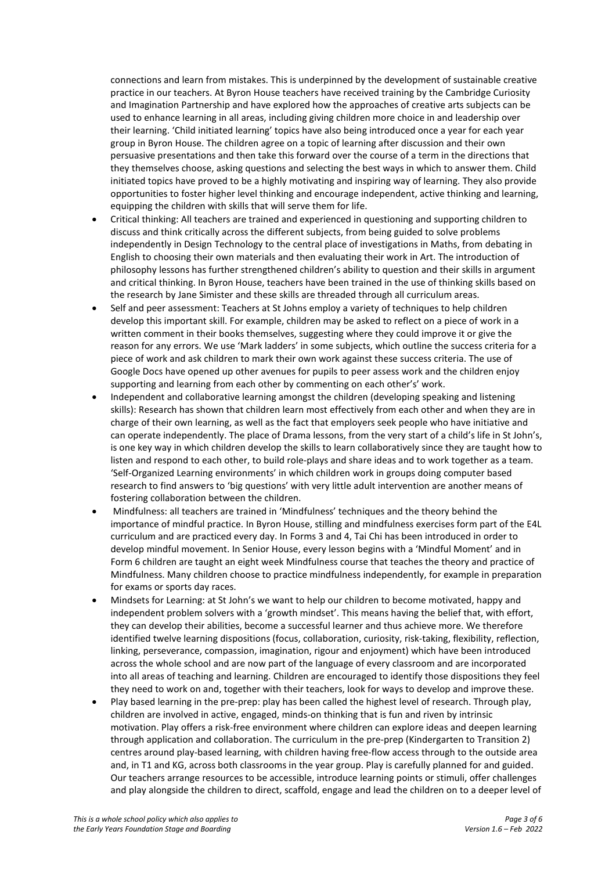connections and learn from mistakes. This is underpinned by the development of sustainable creative practice in our teachers. At Byron House teachers have received training by the Cambridge Curiosity and Imagination Partnership and have explored how the approaches of creative arts subjects can be used to enhance learning in all areas, including giving children more choice in and leadership over their learning. 'Child initiated learning' topics have also being introduced once a year for each year group in Byron House. The children agree on a topic of learning after discussion and their own persuasive presentations and then take this forward over the course of a term in the directions that they themselves choose, asking questions and selecting the best ways in which to answer them. Child initiated topics have proved to be a highly motivating and inspiring way of learning. They also provide opportunities to foster higher level thinking and encourage independent, active thinking and learning, equipping the children with skills that will serve them for life.

- Critical thinking: All teachers are trained and experienced in questioning and supporting children to discuss and think critically across the different subjects, from being guided to solve problems independently in Design Technology to the central place of investigations in Maths, from debating in English to choosing their own materials and then evaluating their work in Art. The introduction of philosophy lessons has further strengthened children's ability to question and their skills in argument and critical thinking. In Byron House, teachers have been trained in the use of thinking skills based on the research by Jane Simister and these skills are threaded through all curriculum areas.
- Self and peer assessment: Teachers at St Johns employ a variety of techniques to help children develop this important skill. For example, children may be asked to reflect on a piece of work in a written comment in their books themselves, suggesting where they could improve it or give the reason for any errors. We use 'Mark ladders' in some subjects, which outline the success criteria for a piece of work and ask children to mark their own work against these success criteria. The use of Google Docs have opened up other avenues for pupils to peer assess work and the children enjoy supporting and learning from each other by commenting on each other's' work.
- Independent and collaborative learning amongst the children (developing speaking and listening skills): Research has shown that children learn most effectively from each other and when they are in charge of their own learning, as well as the fact that employers seek people who have initiative and can operate independently. The place of Drama lessons, from the very start of a child's life in St John's, is one key way in which children develop the skills to learn collaboratively since they are taught how to listen and respond to each other, to build role-plays and share ideas and to work together as a team. 'Self-Organized Learning environments' in which children work in groups doing computer based research to find answers to 'big questions' with very little adult intervention are another means of fostering collaboration between the children.
- Mindfulness: all teachers are trained in 'Mindfulness' techniques and the theory behind the importance of mindful practice. In Byron House, stilling and mindfulness exercises form part of the E4L curriculum and are practiced every day. In Forms 3 and 4, Tai Chi has been introduced in order to develop mindful movement. In Senior House, every lesson begins with a 'Mindful Moment' and in Form 6 children are taught an eight week Mindfulness course that teaches the theory and practice of Mindfulness. Many children choose to practice mindfulness independently, for example in preparation for exams or sports day races.
- Mindsets for Learning: at St John's we want to help our children to become motivated, happy and independent problem solvers with a 'growth mindset'. This means having the belief that, with effort, they can develop their abilities, become a successful learner and thus achieve more. We therefore identified twelve learning dispositions (focus, collaboration, curiosity, risk-taking, flexibility, reflection, linking, perseverance, compassion, imagination, rigour and enjoyment) which have been introduced across the whole school and are now part of the language of every classroom and are incorporated into all areas of teaching and learning. Children are encouraged to identify those dispositions they feel they need to work on and, together with their teachers, look for ways to develop and improve these.
- Play based learning in the pre-prep: play has been called the highest level of research. Through play, children are involved in active, engaged, minds-on thinking that is fun and riven by intrinsic motivation. Play offers a risk-free environment where children can explore ideas and deepen learning through application and collaboration. The curriculum in the pre-prep (Kindergarten to Transition 2) centres around play-based learning, with children having free-flow access through to the outside area and, in T1 and KG, across both classrooms in the year group. Play is carefully planned for and guided. Our teachers arrange resources to be accessible, introduce learning points or stimuli, offer challenges and play alongside the children to direct, scaffold, engage and lead the children on to a deeper level of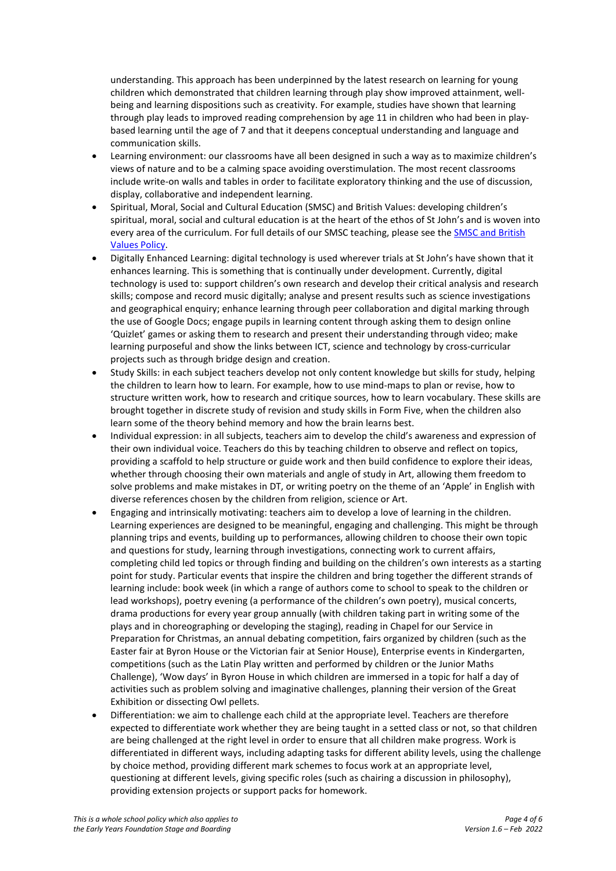understanding. This approach has been underpinned by the latest research on learning for young children which demonstrated that children learning through play show improved attainment, wellbeing and learning dispositions such as creativity. For example, studies have shown that learning through play leads to improved reading comprehension by age 11 in children who had been in playbased learning until the age of 7 and that it deepens conceptual understanding and language and communication skills.

- Learning environment: our classrooms have all been designed in such a way as to maximize children's views of nature and to be a calming space avoiding overstimulation. The most recent classrooms include write-on walls and tables in order to facilitate exploratory thinking and the use of discussion, display, collaborative and independent learning.
- Spiritual, Moral, Social and Cultural Education (SMSC) and British Values: developing children's spiritual, moral, social and cultural education is at the heart of the ethos of St John's and is woven into every area of the curriculum. For full details of our SMSC teaching, please see the SMSC and British [Values Policy.](https://www.sjcs.co.uk/sites/default/files/styles/Policies/SJCS%20SMSC%20and%20British%20Values%20Policy.pdf)
- Digitally Enhanced Learning: digital technology is used wherever trials at St John's have shown that it enhances learning. This is something that is continually under development. Currently, digital technology is used to: support children's own research and develop their critical analysis and research skills; compose and record music digitally; analyse and present results such as science investigations and geographical enquiry; enhance learning through peer collaboration and digital marking through the use of Google Docs; engage pupils in learning content through asking them to design online 'Quizlet' games or asking them to research and present their understanding through video; make learning purposeful and show the links between ICT, science and technology by cross-curricular projects such as through bridge design and creation.
- Study Skills: in each subject teachers develop not only content knowledge but skills for study, helping the children to learn how to learn. For example, how to use mind-maps to plan or revise, how to structure written work, how to research and critique sources, how to learn vocabulary. These skills are brought together in discrete study of revision and study skills in Form Five, when the children also learn some of the theory behind memory and how the brain learns best.
- Individual expression: in all subjects, teachers aim to develop the child's awareness and expression of their own individual voice. Teachers do this by teaching children to observe and reflect on topics, providing a scaffold to help structure or guide work and then build confidence to explore their ideas, whether through choosing their own materials and angle of study in Art, allowing them freedom to solve problems and make mistakes in DT, or writing poetry on the theme of an 'Apple' in English with diverse references chosen by the children from religion, science or Art.
- Engaging and intrinsically motivating: teachers aim to develop a love of learning in the children. Learning experiences are designed to be meaningful, engaging and challenging. This might be through planning trips and events, building up to performances, allowing children to choose their own topic and questions for study, learning through investigations, connecting work to current affairs, completing child led topics or through finding and building on the children's own interests as a starting point for study. Particular events that inspire the children and bring together the different strands of learning include: book week (in which a range of authors come to school to speak to the children or lead workshops), poetry evening (a performance of the children's own poetry), musical concerts, drama productions for every year group annually (with children taking part in writing some of the plays and in choreographing or developing the staging), reading in Chapel for our Service in Preparation for Christmas, an annual debating competition, fairs organized by children (such as the Easter fair at Byron House or the Victorian fair at Senior House), Enterprise events in Kindergarten, competitions (such as the Latin Play written and performed by children or the Junior Maths Challenge), 'Wow days' in Byron House in which children are immersed in a topic for half a day of activities such as problem solving and imaginative challenges, planning their version of the Great Exhibition or dissecting Owl pellets.
- Differentiation: we aim to challenge each child at the appropriate level. Teachers are therefore expected to differentiate work whether they are being taught in a setted class or not, so that children are being challenged at the right level in order to ensure that all children make progress. Work is differentiated in different ways, including adapting tasks for different ability levels, using the challenge by choice method, providing different mark schemes to focus work at an appropriate level, questioning at different levels, giving specific roles (such as chairing a discussion in philosophy), providing extension projects or support packs for homework.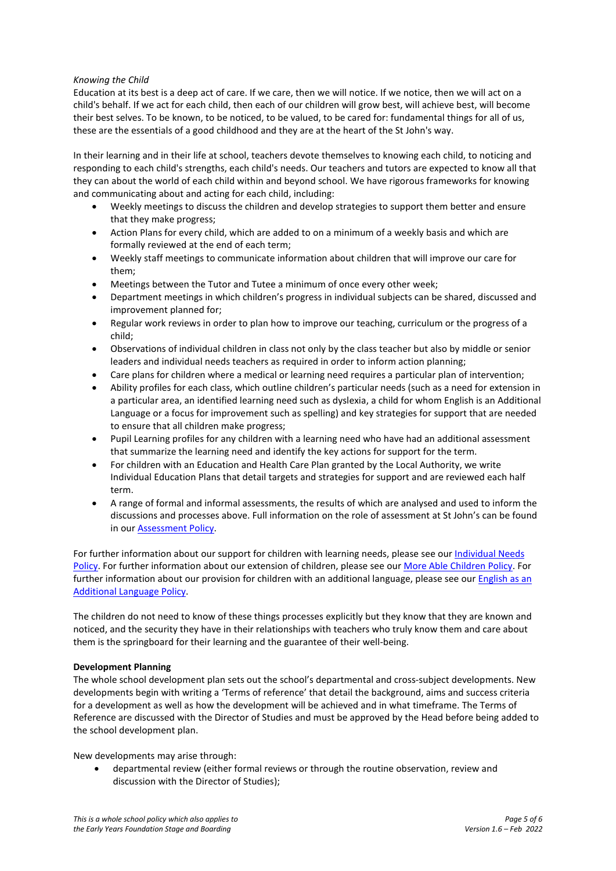# *Knowing the Child*

Education at its best is a deep act of care. If we care, then we will notice. If we notice, then we will act on a child's behalf. If we act for each child, then each of our children will grow best, will achieve best, will become their best selves. To be known, to be noticed, to be valued, to be cared for: fundamental things for all of us, these are the essentials of a good childhood and they are at the heart of the St John's way.

In their learning and in their life at school, teachers devote themselves to knowing each child, to noticing and responding to each child's strengths, each child's needs. Our teachers and tutors are expected to know all that they can about the world of each child within and beyond school. We have rigorous frameworks for knowing and communicating about and acting for each child, including:

- Weekly meetings to discuss the children and develop strategies to support them better and ensure that they make progress;
- Action Plans for every child, which are added to on a minimum of a weekly basis and which are formally reviewed at the end of each term;
- Weekly staff meetings to communicate information about children that will improve our care for them;
- Meetings between the Tutor and Tutee a minimum of once every other week;
- Department meetings in which children's progress in individual subjects can be shared, discussed and improvement planned for;
- Regular work reviews in order to plan how to improve our teaching, curriculum or the progress of a child;
- Observations of individual children in class not only by the class teacher but also by middle or senior leaders and individual needs teachers as required in order to inform action planning;
- Care plans for children where a medical or learning need requires a particular plan of intervention;
- Ability profiles for each class, which outline children's particular needs (such as a need for extension in a particular area, an identified learning need such as dyslexia, a child for whom English is an Additional Language or a focus for improvement such as spelling) and key strategies for support that are needed to ensure that all children make progress;
- Pupil Learning profiles for any children with a learning need who have had an additional assessment that summarize the learning need and identify the key actions for support for the term.
- For children with an Education and Health Care Plan granted by the Local Authority, we write Individual Education Plans that detail targets and strategies for support and are reviewed each half term.
- A range of formal and informal assessments, the results of which are analysed and used to inform the discussions and processes above. Full information on the role of assessment at St John's can be found in our **Assessment Policy**.

For further information about our support for children with learning needs, please see ou[r Individual Needs](https://www.sjcs.co.uk/sites/default/files/styles/Policies/SJCS%20Individual%20Needs%20Policy.pdf)  [Policy.](https://www.sjcs.co.uk/sites/default/files/styles/Policies/SJCS%20Individual%20Needs%20Policy.pdf) For further information about our extension of children, please see ou[r More Able Children Policy.](https://www.sjcs.co.uk/sites/default/files/styles/Policies/SJCS%20More%20Able%20Children.pdf) For further information about our provision for children with an additional language, please see our English as an [Additional Language Policy.](https://www.sjcs.co.uk/sites/default/files/styles/Policies/SJCS%20English%20as%20an%20Additional%20Language%20%28EAL%29%20Policy.pdf)

The children do not need to know of these things processes explicitly but they know that they are known and noticed, and the security they have in their relationships with teachers who truly know them and care about them is the springboard for their learning and the guarantee of their well-being.

# **Development Planning**

The whole school development plan sets out the school's departmental and cross-subject developments. New developments begin with writing a 'Terms of reference' that detail the background, aims and success criteria for a development as well as how the development will be achieved and in what timeframe. The Terms of Reference are discussed with the Director of Studies and must be approved by the Head before being added to the school development plan.

New developments may arise through:

• departmental review (either formal reviews or through the routine observation, review and discussion with the Director of Studies);